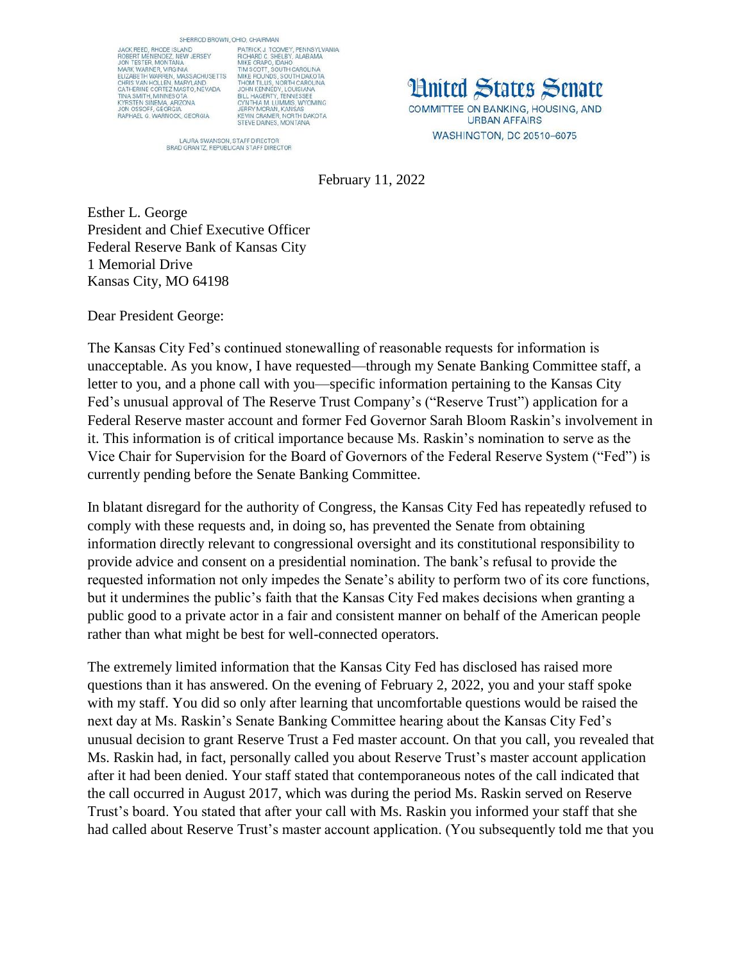SHERROD BROWN, OHIO, CHAIRMAN

JACK REED, RHODE ISLAND JACK REED, RHODE ISLAND<br>ROBERT MENENDEZ, NEW JERSEY<br>JON TESTER, MONTANA MARK WARNER, VIRGINIA ELIZABETH WARREN, MASSACHUSETTS ELIZABETH WARREN, MASSACHUSETTS<br>CHRISTAN HOLLEN, MARYLAND<br>CATHERINE CORTEZ MASTO, NEVADA<br>TINA SMITH, MINNESOTA<br>KYRSTEN SINEMA, ARIZONA<br>JON OSSOFF, GEORGIA<br>RAPHAEL G. WARNOCK, GEORGIA

DHIO, CHAIRMAN<br>PATRICK J. TOOMEY, PENNSYLVANIA<br>RICHARD C. SHELBY, ALABAMA<br>MIKE CRAPO, IDAHO<br>TIM SCOTT, SOUTH CAROLINA<br>TIM SCOTT, SOUTH CAROLINA<br>MEE ROUNDS, SOUTH CAROLINA<br>JOHN KENNEDY, J.CUISIANA<br>JOHN KENNEDY, J.CUISIANA<br>C

LAURA SWANSON, STAFF DIRECTOR<br>BRAD GRANTZ, REPUBLICAN STAFF DIRECTOR

**Hnited States Senate** COMMITTEE ON BANKING, HOUSING, AND

**URBAN AFFAIRS** WASHINGTON, DC 20510-6075

February 11, 2022

Esther L. George President and Chief Executive Officer Federal Reserve Bank of Kansas City 1 Memorial Drive Kansas City, MO 64198

Dear President George:

The Kansas City Fed's continued stonewalling of reasonable requests for information is unacceptable. As you know, I have requested—through my Senate Banking Committee staff, a letter to you, and a phone call with you—specific information pertaining to the Kansas City Fed's unusual approval of The Reserve Trust Company's ("Reserve Trust") application for a Federal Reserve master account and former Fed Governor Sarah Bloom Raskin's involvement in it. This information is of critical importance because Ms. Raskin's nomination to serve as the Vice Chair for Supervision for the Board of Governors of the Federal Reserve System ("Fed") is currently pending before the Senate Banking Committee.

In blatant disregard for the authority of Congress, the Kansas City Fed has repeatedly refused to comply with these requests and, in doing so, has prevented the Senate from obtaining information directly relevant to congressional oversight and its constitutional responsibility to provide advice and consent on a presidential nomination. The bank's refusal to provide the requested information not only impedes the Senate's ability to perform two of its core functions, but it undermines the public's faith that the Kansas City Fed makes decisions when granting a public good to a private actor in a fair and consistent manner on behalf of the American people rather than what might be best for well-connected operators.

The extremely limited information that the Kansas City Fed has disclosed has raised more questions than it has answered. On the evening of February 2, 2022, you and your staff spoke with my staff. You did so only after learning that uncomfortable questions would be raised the next day at Ms. Raskin's Senate Banking Committee hearing about the Kansas City Fed's unusual decision to grant Reserve Trust a Fed master account. On that you call, you revealed that Ms. Raskin had, in fact, personally called you about Reserve Trust's master account application after it had been denied. Your staff stated that contemporaneous notes of the call indicated that the call occurred in August 2017, which was during the period Ms. Raskin served on Reserve Trust's board. You stated that after your call with Ms. Raskin you informed your staff that she had called about Reserve Trust's master account application. (You subsequently told me that you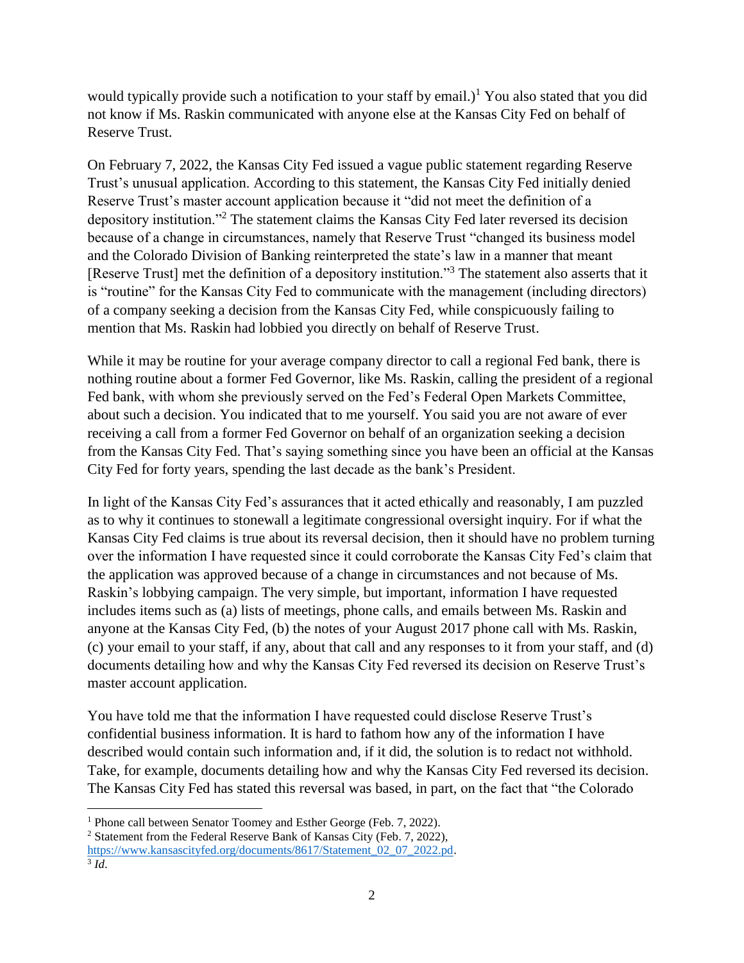would typically provide such a notification to your staff by email.)<sup>1</sup> You also stated that you did not know if Ms. Raskin communicated with anyone else at the Kansas City Fed on behalf of Reserve Trust.

On February 7, 2022, the Kansas City Fed issued a vague public statement regarding Reserve Trust's unusual application. According to this statement, the Kansas City Fed initially denied Reserve Trust's master account application because it "did not meet the definition of a depository institution."<sup>2</sup> The statement claims the Kansas City Fed later reversed its decision because of a change in circumstances, namely that Reserve Trust "changed its business model and the Colorado Division of Banking reinterpreted the state's law in a manner that meant [Reserve Trust] met the definition of a depository institution."<sup>3</sup> The statement also asserts that it is "routine" for the Kansas City Fed to communicate with the management (including directors) of a company seeking a decision from the Kansas City Fed, while conspicuously failing to mention that Ms. Raskin had lobbied you directly on behalf of Reserve Trust.

While it may be routine for your average company director to call a regional Fed bank, there is nothing routine about a former Fed Governor, like Ms. Raskin, calling the president of a regional Fed bank, with whom she previously served on the Fed's Federal Open Markets Committee, about such a decision. You indicated that to me yourself. You said you are not aware of ever receiving a call from a former Fed Governor on behalf of an organization seeking a decision from the Kansas City Fed. That's saying something since you have been an official at the Kansas City Fed for forty years, spending the last decade as the bank's President.

In light of the Kansas City Fed's assurances that it acted ethically and reasonably, I am puzzled as to why it continues to stonewall a legitimate congressional oversight inquiry. For if what the Kansas City Fed claims is true about its reversal decision, then it should have no problem turning over the information I have requested since it could corroborate the Kansas City Fed's claim that the application was approved because of a change in circumstances and not because of Ms. Raskin's lobbying campaign. The very simple, but important, information I have requested includes items such as (a) lists of meetings, phone calls, and emails between Ms. Raskin and anyone at the Kansas City Fed, (b) the notes of your August 2017 phone call with Ms. Raskin, (c) your email to your staff, if any, about that call and any responses to it from your staff, and (d) documents detailing how and why the Kansas City Fed reversed its decision on Reserve Trust's master account application.

You have told me that the information I have requested could disclose Reserve Trust's confidential business information. It is hard to fathom how any of the information I have described would contain such information and, if it did, the solution is to redact not withhold. Take, for example, documents detailing how and why the Kansas City Fed reversed its decision. The Kansas City Fed has stated this reversal was based, in part, on the fact that "the Colorado

 $\overline{\phantom{a}}$ <sup>1</sup> Phone call between Senator Toomey and Esther George (Feb. 7, 2022).

<sup>2</sup> Statement from the Federal Reserve Bank of Kansas City (Feb. 7, 2022), [https://www.kansascityfed.org/documents/8617/Statement\\_02\\_07\\_2022.pd.](https://www.kansascityfed.org/documents/8617/Statement_02_07_2022.pd) 3 *Id*.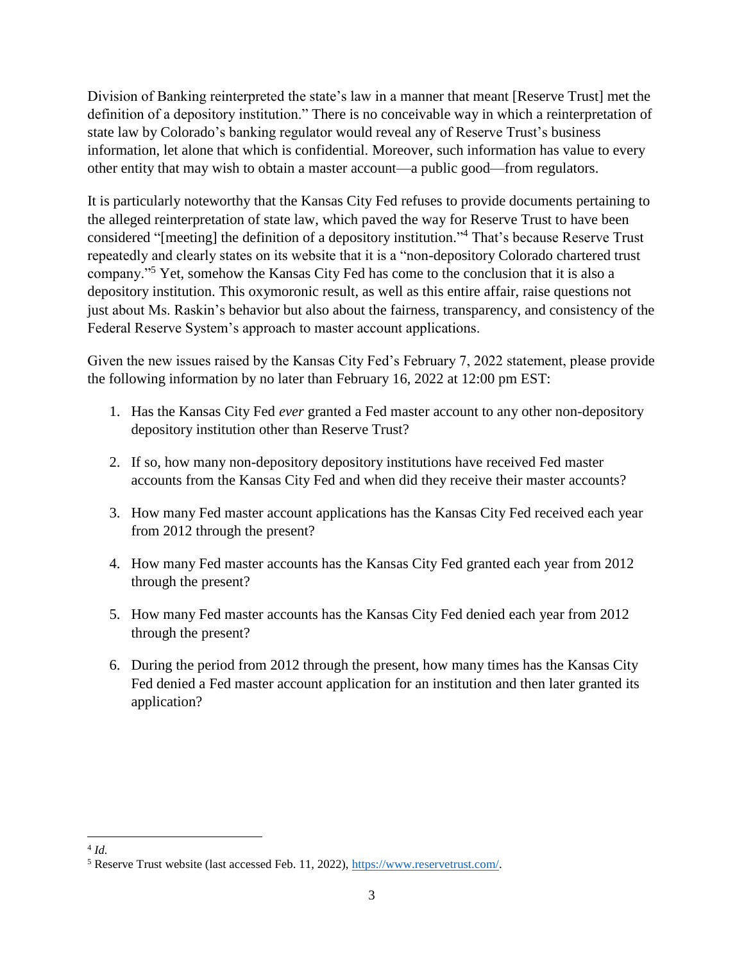Division of Banking reinterpreted the state's law in a manner that meant [Reserve Trust] met the definition of a depository institution." There is no conceivable way in which a reinterpretation of state law by Colorado's banking regulator would reveal any of Reserve Trust's business information, let alone that which is confidential. Moreover, such information has value to every other entity that may wish to obtain a master account—a public good—from regulators.

It is particularly noteworthy that the Kansas City Fed refuses to provide documents pertaining to the alleged reinterpretation of state law, which paved the way for Reserve Trust to have been considered "[meeting] the definition of a depository institution." <sup>4</sup> That's because Reserve Trust repeatedly and clearly states on its website that it is a "non-depository Colorado chartered trust company."<sup>5</sup> Yet, somehow the Kansas City Fed has come to the conclusion that it is also a depository institution. This oxymoronic result, as well as this entire affair, raise questions not just about Ms. Raskin's behavior but also about the fairness, transparency, and consistency of the Federal Reserve System's approach to master account applications.

Given the new issues raised by the Kansas City Fed's February 7, 2022 statement, please provide the following information by no later than February 16, 2022 at 12:00 pm EST:

- 1. Has the Kansas City Fed *ever* granted a Fed master account to any other non-depository depository institution other than Reserve Trust?
- 2. If so, how many non-depository depository institutions have received Fed master accounts from the Kansas City Fed and when did they receive their master accounts?
- 3. How many Fed master account applications has the Kansas City Fed received each year from 2012 through the present?
- 4. How many Fed master accounts has the Kansas City Fed granted each year from 2012 through the present?
- 5. How many Fed master accounts has the Kansas City Fed denied each year from 2012 through the present?
- 6. During the period from 2012 through the present, how many times has the Kansas City Fed denied a Fed master account application for an institution and then later granted its application?

 $\overline{\phantom{a}}$ 4 *Id.*

<sup>5</sup> Reserve Trust website (last accessed Feb. 11, 2022)[, https://www.reservetrust.com/.](https://www.reservetrust.com/)